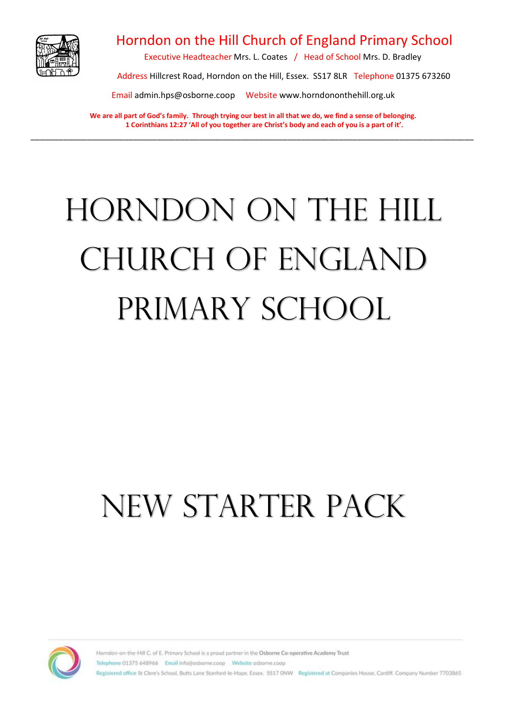

### Horndon on the Hill Church of England Primary School

Executive Headteacher Mrs. L. Coates / Head of School Mrs. D. Bradley

Address Hillcrest Road, Horndon on the Hill, Essex. SS17 8LR Telephone 01375 673260

Email admin.hps@osborne.coop Website [www.horndononthehill.org.uk](http://www.horndononthehill.org.uk/)

**We are all part of God's family. Through trying our best in all that we do, we find a sense of belonging. 1 Corinthians 12:27 'All of you together are Christ's body and each of you is a part of it'.** \_\_\_\_\_\_\_\_\_\_\_\_\_\_\_\_\_\_\_\_\_\_\_\_\_\_\_\_\_\_\_\_\_\_\_\_\_\_\_\_\_\_\_\_\_\_\_\_\_\_\_\_\_\_\_\_\_\_\_\_\_\_\_\_\_\_\_\_\_\_\_\_\_\_\_\_\_\_\_\_\_\_\_\_\_\_\_\_\_\_\_\_\_\_\_

# Horndon on the Hill Church of England PRIMARY SCHOOL

## NEW STARTER PACK

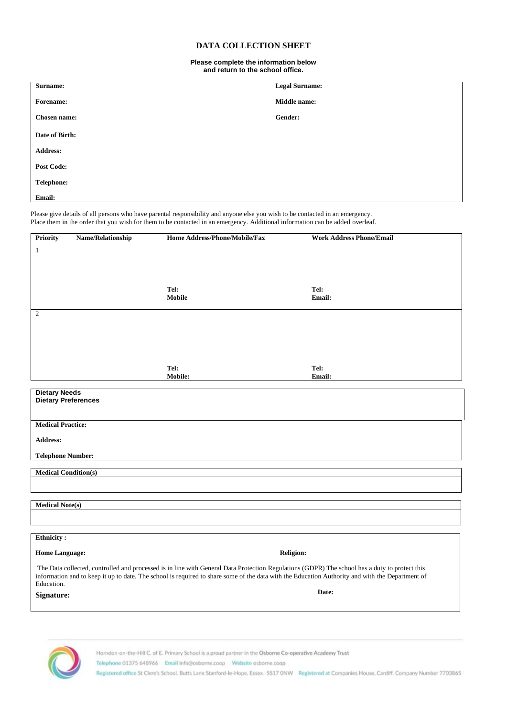#### **DATA COLLECTION SHEET**

#### **Please complete the information below and return to the school office.**

| Surname:            | <b>Legal Surname:</b> |
|---------------------|-----------------------|
|                     |                       |
| Forename:           | <b>Middle name:</b>   |
|                     |                       |
| <b>Chosen name:</b> | Gender:               |
|                     |                       |
| Date of Birth:      |                       |
|                     |                       |
| <b>Address:</b>     |                       |
|                     |                       |
| <b>Post Code:</b>   |                       |
|                     |                       |
| <b>Telephone:</b>   |                       |
|                     |                       |
| Email:              |                       |
|                     |                       |

Please give details of all persons who have parental responsibility and anyone else you wish to be contacted in an emergency. Place them in the order that you wish for them to be contacted in an emergency. Additional information can be added overleaf.

| Name/Relationship<br><b>Priority</b>                                                                                                                                                                                                                                                                           | Home Address/Phone/Mobile/Fax | <b>Work Address Phone/Email</b> |
|----------------------------------------------------------------------------------------------------------------------------------------------------------------------------------------------------------------------------------------------------------------------------------------------------------------|-------------------------------|---------------------------------|
| $\mathbf{1}$                                                                                                                                                                                                                                                                                                   |                               |                                 |
|                                                                                                                                                                                                                                                                                                                |                               |                                 |
|                                                                                                                                                                                                                                                                                                                |                               |                                 |
|                                                                                                                                                                                                                                                                                                                | Tel:                          | Tel:                            |
|                                                                                                                                                                                                                                                                                                                | <b>Mobile</b>                 | Email:                          |
| $\overline{c}$                                                                                                                                                                                                                                                                                                 |                               |                                 |
|                                                                                                                                                                                                                                                                                                                |                               |                                 |
|                                                                                                                                                                                                                                                                                                                |                               |                                 |
|                                                                                                                                                                                                                                                                                                                |                               |                                 |
|                                                                                                                                                                                                                                                                                                                |                               |                                 |
|                                                                                                                                                                                                                                                                                                                | Tel:<br>Mobile:               | Tel:<br>Email:                  |
|                                                                                                                                                                                                                                                                                                                |                               |                                 |
| <b>Dietary Needs</b><br><b>Dietary Preferences</b>                                                                                                                                                                                                                                                             |                               |                                 |
|                                                                                                                                                                                                                                                                                                                |                               |                                 |
| <b>Medical Practice:</b>                                                                                                                                                                                                                                                                                       |                               |                                 |
|                                                                                                                                                                                                                                                                                                                |                               |                                 |
| Address:                                                                                                                                                                                                                                                                                                       |                               |                                 |
| <b>Telephone Number:</b>                                                                                                                                                                                                                                                                                       |                               |                                 |
| <b>Medical Condition(s)</b>                                                                                                                                                                                                                                                                                    |                               |                                 |
|                                                                                                                                                                                                                                                                                                                |                               |                                 |
|                                                                                                                                                                                                                                                                                                                |                               |                                 |
| <b>Medical Note(s)</b>                                                                                                                                                                                                                                                                                         |                               |                                 |
|                                                                                                                                                                                                                                                                                                                |                               |                                 |
|                                                                                                                                                                                                                                                                                                                |                               |                                 |
| Ethnicity:                                                                                                                                                                                                                                                                                                     |                               |                                 |
| <b>Home Language:</b>                                                                                                                                                                                                                                                                                          | <b>Religion:</b>              |                                 |
| The Data collected, controlled and processed is in line with General Data Protection Regulations (GDPR) The school has a duty to protect this<br>information and to keep it up to date. The school is required to share some of the data with the Education Authority and with the Department of<br>Education. |                               |                                 |
| Signature:                                                                                                                                                                                                                                                                                                     |                               | Date:                           |



Horndon-on-the-Hill C. of E. Primary School is a proud partner in the Osborne Co-operative Academy Trust

Telephone 01375 648966 Email info@osborne.coop Website osborne.coop

Registered office St Clere's School, Butts Lane Stanford-le-Hope, Essex. SS17 ONW Registered at Companies House, Cardiff. Company Number 7703865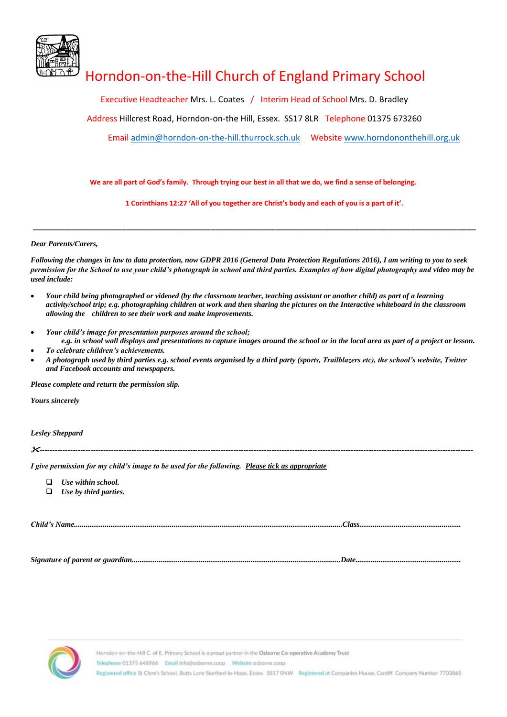

## Horndon-on-the-Hill Church of England Primary School

Executive Headteacher Mrs. L. Coates / Interim Head of School Mrs. D. Bradley

Address Hillcrest Road, Horndon-on-the Hill, Essex. SS17 8LR Telephone 01375 673260

Email [admin@horndon-on-the-hill.thurrock.sch.uk](mailto:admin@horndon-on-the-hill.thurrock.sch.uk) Website [www.horndononthehill.org.uk](http://www.horndononthehill.org.uk/)

**We are all part of God's family. Through trying our best in all that we do, we find a sense of belonging.**

\_\_\_\_\_\_\_\_\_\_\_\_\_\_\_\_\_\_\_\_\_\_\_\_\_\_\_\_\_\_\_\_\_\_\_\_\_\_\_\_\_\_\_\_\_\_\_\_\_\_\_\_\_\_\_\_\_\_\_\_\_\_\_\_\_\_\_\_\_\_\_\_\_\_\_\_\_\_\_\_\_\_\_\_\_\_\_\_\_\_\_\_\_\_\_

 **1 Corinthians 12:27 'All of you together are Christ's body and each of you is a part of it'.**

*Dear Parents/Carers,* 

*Following the changes in law to data protection, now GDPR 2016 (General Data Protection Regulations 2016), I am writing to you to seek permission for the School to use your child's photograph in school and third parties. Examples of how digital photography and video may be used include:*

- *Your child being photographed or videoed (by the classroom teacher, teaching assistant or another child) as part of a learning activity/school trip; e.g. photographing children at work and then sharing the pictures on the Interactive whiteboard in the classroom allowing the children to see their work and make improvements.*
- *Your child's image for presentation purposes around the school;*
- *e.g. in school wall displays and presentations to capture images around the school or in the local area as part of a project or lesson.* • *To celebrate children's achievements.*
- *A photograph used by third parties e.g. school events organised by a third party (sports, Trailblazers etc), the school's website, Twitter and Facebook accounts and newspapers.*

*Please complete and return the permission slip.*

*Yours sincerely*

*Lesley Sheppard*

*--------------------------------------------------------------------------------------------------------------------------------------------------------------------------*

*I give permission for my child's image to be used for the following. Please tick as appropriate*

❑ *Use within school.*

❑ *Use by third parties.*

*Child's Name............................................................................................................................................Class.....................................................*

*Signature of parent or guardian.............................................................................................................Date.......................................................*

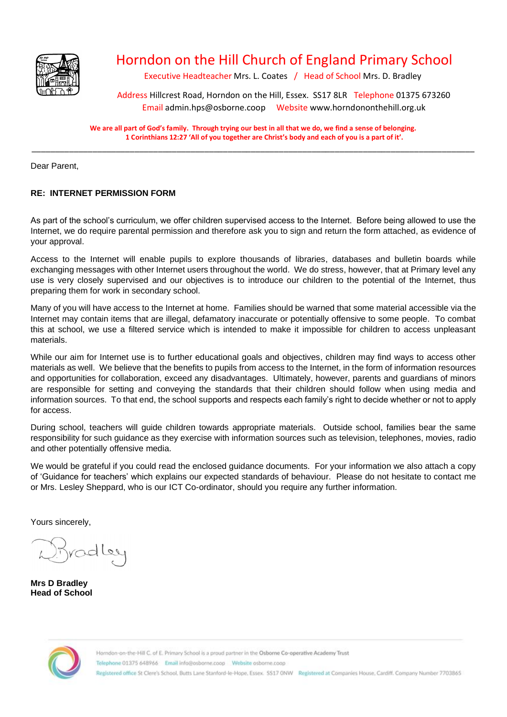

## Horndon on the Hill Church of England Primary School

Executive Headteacher Mrs. L. Coates / Head of School Mrs. D. Bradley

Address Hillcrest Road, Horndon on the Hill, Essex. SS17 8LR Telephone 01375 673260 Email admin.hps@osborne.coop Website [www.horndononthehill.org.uk](http://www.horndononthehill.org.uk/)

**We are all part of God's family. Through trying our best in all that we do, we find a sense of belonging. 1 Corinthians 12:27 'All of you together are Christ's body and each of you is a part of it'.** \_\_\_\_\_\_\_\_\_\_\_\_\_\_\_\_\_\_\_\_\_\_\_\_\_\_\_\_\_\_\_\_\_\_\_\_\_\_\_\_\_\_\_\_\_\_\_\_\_\_\_\_\_\_\_\_\_\_\_\_\_\_\_\_\_\_\_\_\_\_\_\_\_\_\_\_\_\_\_\_\_\_\_\_\_\_\_\_\_\_\_\_\_\_\_

Dear Parent,

#### **RE: INTERNET PERMISSION FORM**

As part of the school's curriculum, we offer children supervised access to the Internet. Before being allowed to use the Internet, we do require parental permission and therefore ask you to sign and return the form attached, as evidence of your approval.

Access to the Internet will enable pupils to explore thousands of libraries, databases and bulletin boards while exchanging messages with other Internet users throughout the world. We do stress, however, that at Primary level any use is very closely supervised and our objectives is to introduce our children to the potential of the Internet, thus preparing them for work in secondary school.

Many of you will have access to the Internet at home. Families should be warned that some material accessible via the Internet may contain items that are illegal, defamatory inaccurate or potentially offensive to some people. To combat this at school, we use a filtered service which is intended to make it impossible for children to access unpleasant materials.

While our aim for Internet use is to further educational goals and objectives, children may find ways to access other materials as well. We believe that the benefits to pupils from access to the Internet, in the form of information resources and opportunities for collaboration, exceed any disadvantages. Ultimately, however, parents and guardians of minors are responsible for setting and conveying the standards that their children should follow when using media and information sources. To that end, the school supports and respects each family's right to decide whether or not to apply for access.

During school, teachers will guide children towards appropriate materials. Outside school, families bear the same responsibility for such guidance as they exercise with information sources such as television, telephones, movies, radio and other potentially offensive media.

We would be grateful if you could read the enclosed guidance documents. For your information we also attach a copy of 'Guidance for teachers' which explains our expected standards of behaviour. Please do not hesitate to contact me or Mrs. Lesley Sheppard, who is our ICT Co-ordinator, should you require any further information.

Yours sincerely,

radles

**Mrs D Bradley Head of School**

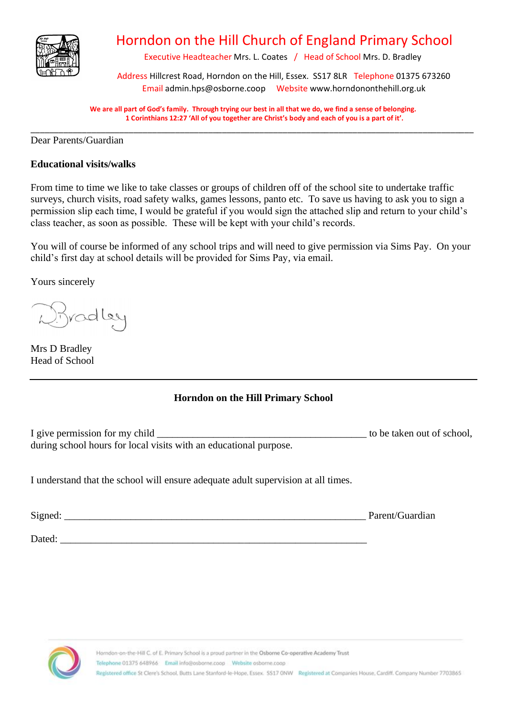

## Horndon on the Hill Church of England Primary School

Executive Headteacher Mrs. L. Coates / Head of School Mrs. D. Bradley

Address Hillcrest Road, Horndon on the Hill, Essex. SS17 8LR Telephone 01375 673260 Email admin.hps@osborne.coop Website [www.horndononthehill.org.uk](http://www.horndononthehill.org.uk/)

**We are all part of God's family. Through trying our best in all that we do, we find a sense of belonging. 1 Corinthians 12:27 'All of you together are Christ's body and each of you is a part of it'.** \_\_\_\_\_\_\_\_\_\_\_\_\_\_\_\_\_\_\_\_\_\_\_\_\_\_\_\_\_\_\_\_\_\_\_\_\_\_\_\_\_\_\_\_\_\_\_\_\_\_\_\_\_\_\_\_\_\_\_\_\_\_\_\_\_\_\_\_\_\_\_\_\_\_\_\_\_\_\_\_\_\_\_\_\_\_\_\_\_\_\_\_\_\_\_

Dear Parents/Guardian

#### **Educational visits/walks**

From time to time we like to take classes or groups of children off of the school site to undertake traffic surveys, church visits, road safety walks, games lessons, panto etc. To save us having to ask you to sign a permission slip each time, I would be grateful if you would sign the attached slip and return to your child's class teacher, as soon as possible. These will be kept with your child's records.

You will of course be informed of any school trips and will need to give permission via Sims Pay. On your child's first day at school details will be provided for Sims Pay, via email.

Yours sincerely

Bradley

Mrs D Bradley Head of School

#### **Horndon on the Hill Primary School**

I give permission for my child to be taken out of school, during school hours for local visits with an educational purpose.

I understand that the school will ensure adequate adult supervision at all times.

Signed: Parent/Guardian

Dated: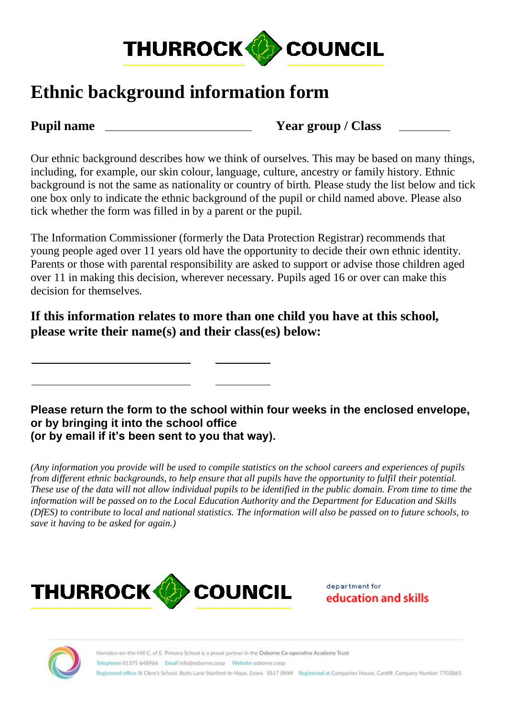

## **Ethnic background information form**

**Pupil name Year group / Class**

Our ethnic background describes how we think of ourselves. This may be based on many things, including, for example, our skin colour, language, culture, ancestry or family history. Ethnic background is not the same as nationality or country of birth. Please study the list below and tick one box only to indicate the ethnic background of the pupil or child named above. Please also tick whether the form was filled in by a parent or the pupil.

The Information Commissioner (formerly the Data Protection Registrar) recommends that young people aged over 11 years old have the opportunity to decide their own ethnic identity. Parents or those with parental responsibility are asked to support or advise those children aged over 11 in making this decision, wherever necessary. Pupils aged 16 or over can make this decision for themselves.

**If this information relates to more than one child you have at this school, please write their name(s) and their class(es) below:**

**Please return the form to the school within four weeks in the enclosed envelope, or by bringing it into the school office (or by email if it's been sent to you that way).** 

*(Any information you provide will be used to compile statistics on the school careers and experiences of pupils from different ethnic backgrounds, to help ensure that all pupils have the opportunity to fulfil their potential. These use of the data will not allow individual pupils to be identified in the public domain. From time to time the information will be passed on to the Local Education Authority and the Department for Education and Skills (DfES) to contribute to local and national statistics. The information will also be passed on to future schools, to save it having to be asked for again.)* 



department for education and skills

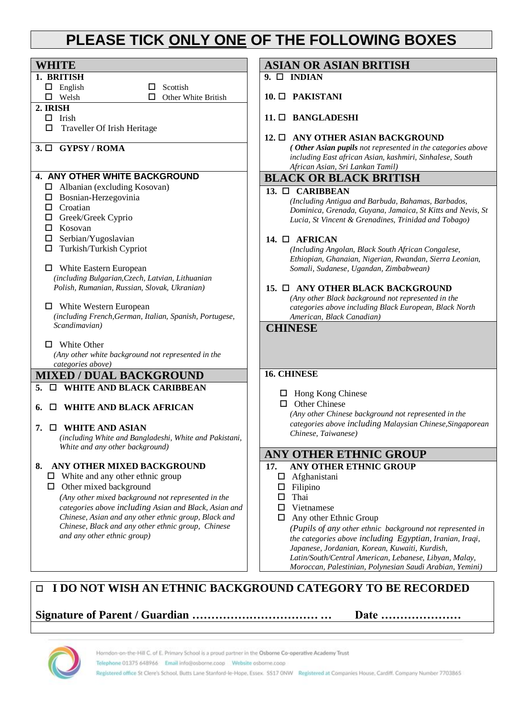## **PLEASE TICK ONLY ONE OF THE FOLLOWING BOXES**

| <b>WHITE</b>                                                                              | <b>ASIAN OR ASIAN BRITISH</b>                                                                                 |
|-------------------------------------------------------------------------------------------|---------------------------------------------------------------------------------------------------------------|
| 1. BRITISH                                                                                | $9. \Box$ INDIAN                                                                                              |
| $\Box$ English<br>Scottish<br>□                                                           |                                                                                                               |
| $\Box$ Welsh<br>Other White British<br>□                                                  | $10. \Box$ PAKISTANI                                                                                          |
| 2. IRISH                                                                                  |                                                                                                               |
| $\Box$ Irish                                                                              | 11. □ BANGLADESHI                                                                                             |
| Traveller Of Irish Heritage<br>□                                                          | 12. O ANY OTHER ASIAN BACKGROUND                                                                              |
| $3. \Box$ GYPSY / ROMA                                                                    | (Other Asian pupils not represented in the categories above                                                   |
|                                                                                           | including East african Asian, kashmiri, Sinhalese, South                                                      |
|                                                                                           | African Asian, Sri Lankan Tamil)                                                                              |
| 4. ANY OTHER WHITE BACKGROUND                                                             | <b>BLACK OR BLACK BRITISH</b>                                                                                 |
| $\Box$ Albanian (excluding Kosovan)                                                       | 13. $\Box$ CARIBBEAN                                                                                          |
| $\Box$ Bosnian-Herzegovinia                                                               | (Including Antigua and Barbuda, Bahamas, Barbados,                                                            |
| $\Box$ Croatian                                                                           | Dominica, Grenada, Guyana, Jamaica, St Kitts and Nevis, St                                                    |
| Greek/Greek Cyprio<br>□                                                                   | Lucia, St Vincent & Grenadines, Trinidad and Tobago)                                                          |
| Kosovan<br>$\Box$<br>Serbian/Yugoslavian                                                  |                                                                                                               |
| $\Box$<br>Turkish/Turkish Cypriot<br>□                                                    | 14. $\Box$ AFRICAN                                                                                            |
|                                                                                           | (Including Angolan, Black South African Congalese,<br>Ethiopian, Ghanaian, Nigerian, Rwandan, Sierra Leonian, |
| White Eastern European<br>ப                                                               | Somali, Sudanese, Ugandan, Zimbabwean)                                                                        |
| (including Bulgarian, Czech, Latvian, Lithuanian                                          |                                                                                                               |
| Polish, Rumanian, Russian, Slovak, Ukranian)                                              | 15. □ ANY OTHER BLACK BACKGROUND                                                                              |
|                                                                                           | (Any other Black background not represented in the                                                            |
| $\Box$ White Western European                                                             | categories above including Black European, Black North                                                        |
| (including French, German, Italian, Spanish, Portugese,                                   | American, Black Canadian)                                                                                     |
| Scandimavian)                                                                             | <b>CHINESE</b>                                                                                                |
| <b>White Other</b><br>$\Box$                                                              |                                                                                                               |
| (Any other white background not represented in the                                        |                                                                                                               |
| categories above)                                                                         |                                                                                                               |
| <b>MIXED / DUAL BACKGROUND</b>                                                            | <b>16. CHINESE</b>                                                                                            |
| <b>IN WHITE AND BLACK CARIBBEAN</b><br>5.                                                 |                                                                                                               |
|                                                                                           | $\Box$ Hong Kong Chinese<br><b>Other Chinese</b><br>0                                                         |
| <b>WHITE AND BLACK AFRICAN</b><br>6.<br>$\sqcup$                                          | (Any other Chinese background not represented in the                                                          |
|                                                                                           | categories above including Malaysian Chinese, Singaporean                                                     |
| <b>D</b> WHITE AND ASIAN<br>7.                                                            | Chinese, Taiwanese)                                                                                           |
| (including White and Bangladeshi, White and Pakistani,<br>White and any other background) |                                                                                                               |
|                                                                                           | <b>ANY OTHER ETHNIC GROUP</b>                                                                                 |
| 8. ANY OTHER MIXED BACKGROUND                                                             | <b>ANY OTHER ETHNIC GROUP</b><br>17.                                                                          |
| $\Box$ White and any other ethnic group                                                   | Afghanistani                                                                                                  |
| $\Box$ Other mixed background                                                             | $\Box$ Filipino                                                                                               |
| (Any other mixed background not represented in the                                        | Thai<br>□.                                                                                                    |
| categories above including Asian and Black, Asian and                                     | Vietnamese<br>□                                                                                               |
| Chinese, Asian and any other ethnic group, Black and                                      | Any other Ethnic Group                                                                                        |
| Chinese, Black and any other ethnic group, Chinese                                        | (Pupils of any other ethnic background not represented in                                                     |
| and any other ethnic group)                                                               | the categories above including Egyptian, Iranian, Iraqi,                                                      |
|                                                                                           | Japanese, Jordanian, Korean, Kuwaiti, Kurdish,                                                                |
|                                                                                           | Latin/South/Central American, Lebanese, Libyan, Malay,                                                        |
|                                                                                           | Moroccan, Palestinian, Polynesian Saudi Arabian, Yemini)                                                      |

#### **I DO NOT WISH AN ETHNIC BACKGROUND CATEGORY TO BE RECORDED**

**Signature of Parent / Guardian …………………………… … Date …………………**